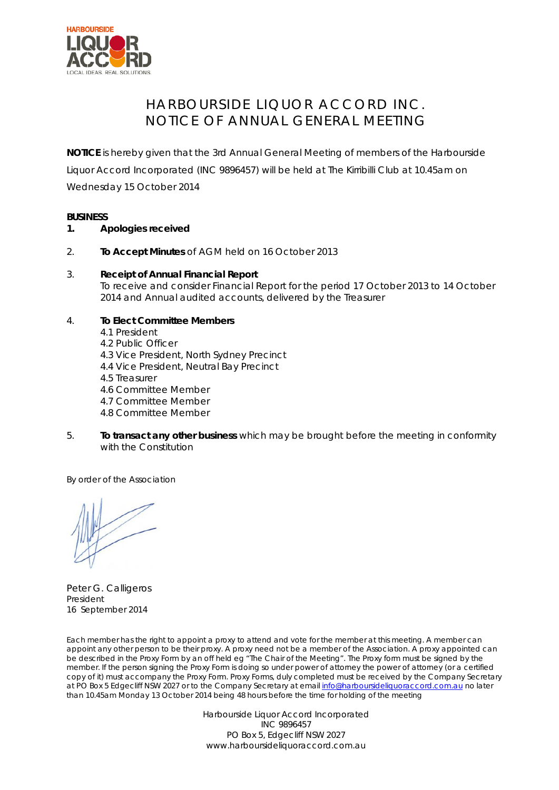

## HARBOURSIDE LIQUOR ACCORD INC. NOTICE OF ANNUAL GENERAL MEETING

**NOTICE** is hereby given that the 3rd Annual General Meeting of members of the Harbourside Liquor Accord Incorporated (INC 9896457) will be held at The Kirribilli Club at 10.45am on Wednesday 15 October 2014

## **BUSINESS**

- **1. Apologies received**
- 2. **To Accept Minutes** of AGM held on 16 October 2013
- 3. **Receipt of Annual Financial Report** To receive and consider Financial Report for the period 17 October 2013 to 14 October 2014 and Annual audited accounts, delivered by the Treasurer
- 4. **To Elect Committee Members** 4.1 President 4.2 Public Officer 4.3 Vice President, North Sydney Precinct 4.4 Vice President, Neutral Bay Precinct

4.5 Treasurer

4.6 Committee Member

4.7 Committee Member

- 4.8 Committee Member
- 5. **To transact any other business** which may be brought before the meeting in conformity with the Constitution

By order of the Association

Peter G. Calligeros President 16 September 2014

Each member has the right to appoint a proxy to attend and vote for the member at this meeting. A member can appoint any other person to be their proxy. A proxy need not be a member of the Association. A proxy appointed can be described in the Proxy Form by an off held eg "The Chair of the Meeting". The Proxy form must be signed by the member. If the person signing the Proxy Form is doing so under power of attorney the power of attorney (or a certified copy of it) must accompany the Proxy Form. Proxy Forms, duly completed must be received by the Company Secretary at PO Box 5 Edgecliff NSW 2027 or to the Company Secretary at email [info@harboursideliquoraccord.com.au](mailto:info@harboursideliquoraccord.com.au) no later than 10.45am Monday 13 October 2014 being 48 hours before the time for holding of the meeting

> Harbourside Liquor Accord Incorporated INC 9896457 PO Box 5, Edgecliff NSW 2027 www.harboursideliquoraccord.com.au